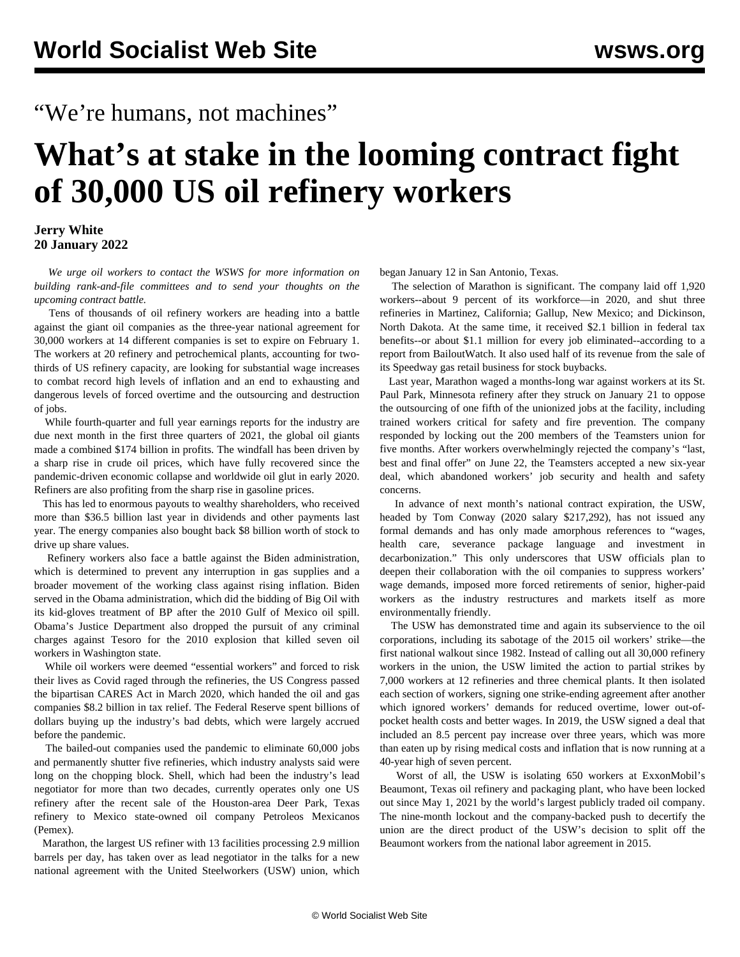## "We're humans, not machines"

# **What's at stake in the looming contract fight of 30,000 US oil refinery workers**

#### **Jerry White 20 January 2022**

 *We urge oil workers to [contact](/workers) the WSWS for more information on building rank-and-file committees and to send your thoughts on the upcoming contract battle.*

 Tens of thousands of oil refinery workers are heading into a battle against the giant oil companies as the three-year national agreement for 30,000 workers at 14 different companies is set to expire on February 1. The workers at 20 refinery and petrochemical plants, accounting for twothirds of US refinery capacity, are looking for substantial wage increases to combat record high levels of inflation and an end to exhausting and dangerous levels of forced overtime and the outsourcing and destruction of jobs.

 While fourth-quarter and full year earnings reports for the industry are due next month in the first three quarters of 2021, the global oil giants made a combined \$174 billion in profits. The windfall has been driven by a sharp rise in crude oil prices, which have fully recovered since the pandemic-driven economic collapse and worldwide oil glut in early 2020. Refiners are also profiting from the sharp rise in gasoline prices.

 This has led to enormous payouts to wealthy shareholders, who received more than \$36.5 billion last year in dividends and other payments last year. The energy companies also bought back \$8 billion worth of stock to drive up share values.

 Refinery workers also face a battle against the Biden administration, which is determined to prevent any interruption in gas supplies and a broader movement of the working class against rising inflation. Biden served in the Obama administration, which did the bidding of Big Oil with its kid-gloves treatment of BP after the 2010 Gulf of Mexico oil spill. Obama's Justice Department also dropped the pursuit of any criminal charges against Tesoro for the 2010 explosion that killed seven oil workers in Washington state.

 While oil workers were deemed "essential workers" and forced to risk their lives as Covid raged through the refineries, the US Congress passed the bipartisan CARES Act in March 2020, which handed the oil and gas companies \$8.2 billion in tax relief. The Federal Reserve spent billions of dollars buying up the industry's bad debts, which were largely accrued before the pandemic.

 The bailed-out companies used the pandemic to eliminate 60,000 jobs and permanently shutter five refineries, which industry analysts said were long on the chopping block. Shell, which had been the industry's lead negotiator for more than two decades, currently operates only one US refinery after the recent sale of the Houston-area Deer Park, Texas refinery to Mexico state-owned oil company Petroleos Mexicanos (Pemex).

 Marathon, the largest US refiner with 13 facilities processing 2.9 million barrels per day, has taken over as lead negotiator in the talks for a new national agreement with the United Steelworkers (USW) union, which

began January 12 in San Antonio, Texas.

 The selection of Marathon is significant. The company laid off 1,920 workers--about 9 percent of its workforce—in 2020, and shut three refineries in Martinez, California; Gallup, New Mexico; and Dickinson, North Dakota. At the same time, it received \$2.1 billion in federal tax benefits--or about \$1.1 million for every job eliminated--according to a report from BailoutWatch. It also used half of its revenue from the sale of its Speedway gas retail business for stock buybacks.

 Last year, Marathon waged a months-long war against workers at its St. Paul Park, Minnesota refinery after they struck on January 21 to oppose the outsourcing of one fifth of the unionized jobs at the facility, including trained workers critical for safety and fire prevention. The company responded by locking out the 200 members of the Teamsters union for five months. After workers overwhelmingly rejected the company's "last, best and final offer" on June 22, the Teamsters accepted a new six-year deal, which abandoned workers' job security and health and safety concerns.

 In advance of next month's national contract expiration, the USW, headed by Tom Conway (2020 salary \$217,292), has not issued any formal demands and has only made amorphous references to "wages, health care, severance package language and investment in decarbonization." This only underscores that USW officials plan to deepen their collaboration with the oil companies to suppress workers' wage demands, imposed more forced retirements of senior, higher-paid workers as the industry restructures and markets itself as more environmentally friendly.

 The USW has demonstrated time and again its subservience to the oil corporations, including its [sabotage of the 2015 oil workers' strike—](/en/topics/workersCategory/oil-strike)the first national walkout since 1982. Instead of calling out all 30,000 refinery workers in the union, the USW limited the action to partial strikes by 7,000 workers at 12 refineries and three chemical plants. It then isolated each section of workers, signing one strike-ending agreement after another which ignored workers' demands for reduced overtime, lower out-ofpocket health costs and better wages. In 2019, the USW signed a deal that included an 8.5 percent pay increase over three years, which was more than eaten up by rising medical costs and inflation that is now running at a 40-year high of seven percent.

 Worst of all, the USW is isolating 650 workers at ExxonMobil's Beaumont, Texas oil refinery and packaging plant, who have been locked out since May 1, 2021 by the world's largest publicly traded oil company. The nine-month lockout and the company-backed push to decertify the union are the direct product of the USW's decision to split off the Beaumont workers from the national labor agreement in 2015.